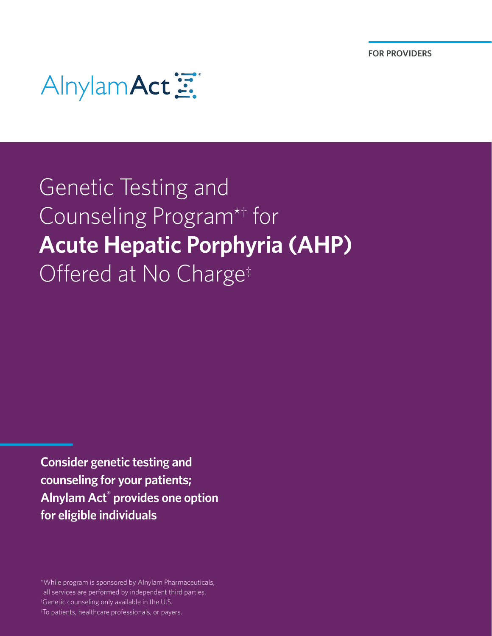

## Genetic Testing and Counseling Program\*† for **Acute Hepatic Porphyria (AHP)** Offered at No Charge<sup>‡</sup>

**Consider genetic testing and counseling for your patients; Alnylam Act® provides one option for eligible individuals**

\*While program is sponsored by Alnylam Pharmaceuticals, all services are performed by independent third parties.

† Genetic counseling only available in the U.S.

‡ To patients, healthcare professionals, or payers.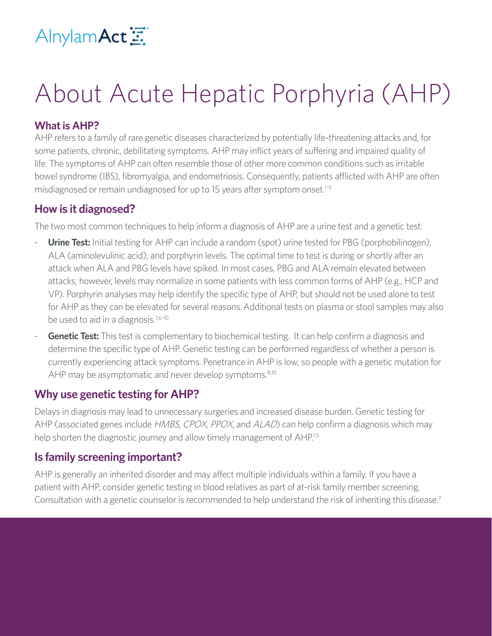

# About Acute Hepatic Porphyria (AHP)

## **What is AHP?**

AHP refers to a family of rare genetic diseases characterized by potentially life-threatening attacks and, for some patients, chronic, debilitating symptoms. AHP may inflict years of suffering and impaired quality of life. The symptoms of AHP can often resemble those of other more common conditions such as irritable bowel syndrome (IBS), fibromyalgia, and endometriosis. Consequently, patients afflicted with AHP are often misdiagnosed or remain undiagnosed for up to 15 years after symptom onset.<sup>1-5</sup>

## **How is it diagnosed?**

The two most common techniques to help inform a diagnosis of AHP are a urine test and a genetic test:

- **Urine Test:** Initial testing for AHP can include a random (spot) urine tested for PBG (porphobilinogen), ALA (aminolevulinic acid), and porphyrin levels. The optimal time to test is during or shortly after an attack when ALA and PBG levels have spiked. In most cases, PBG and ALA remain elevated between attacks; however, levels may normalize in some patients with less common forms of AHP (e.g., HCP and VP). Porphyrin analyses may help identify the specific type of AHP, but should not be used alone to test for AHP as they can be elevated for several reasons.Additional tests on plasma or stool samples may also be used to aid in a diagnosis.<sup>1,6-10</sup>
- **Genetic Test:** This test is complementary to biochemical testing. It can help confirm a diagnosis and determine the specific type of AHP. Genetic testing can be performed regardless of whether a person is currently experiencing attack symptoms. Penetrance in AHP is low, so people with a genetic mutation for AHP may be asymptomatic and never develop symptoms.<sup>8,10</sup>

## **Why use genetic testing for AHP?**

Delays in diagnosis may lead to unnecessary surgeries and increased disease burden. Genetic testing for AHP (associated genes include *HMBS, CPOX, PPOX*, and *ALAD*) can help confirm a diagnosis which may help shorten the diagnostic journey and allow timely management of AHP.<sup>1,5</sup>

## **Is family screening important?**

AHP is generally an inherited disorder and may affect multiple individuals within a family. If you have a patient with AHP, consider genetic testing in blood relatives as part of at-risk family member screening. Consultation with a genetic counselor is recommended to help understand the risk of inheriting this disease.7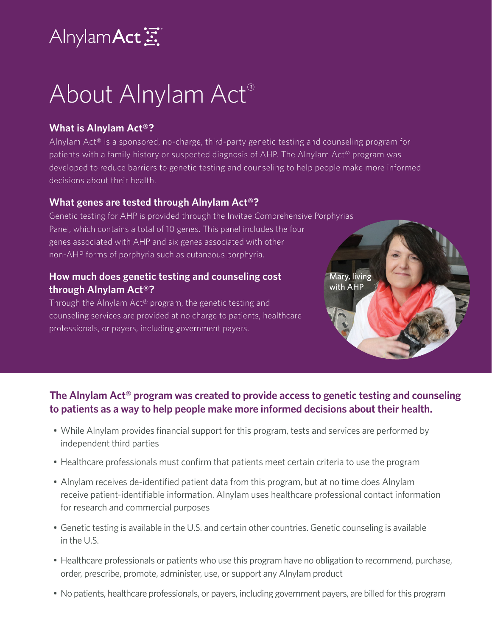## AlnylamAct

# About Alnylam Act®

## **What is Alnylam Act®?**

Alnylam  $Act^{\circ}$  is a sponsored, no-charge, third-party genetic testing and counseling program for patients with a family history or suspected diagnosis of AHP. The Alnylam Act® program was developed to reduce barriers to genetic testing and counseling to help people make more informed decisions about their health.

### **What genes are tested through Alnylam Act®?**

Genetic testing for AHP is provided through the Invitae Comprehensive Porphyrias Panel, which contains a total of 10 genes. This panel includes the four genes associated with AHP and six genes associated with other non-AHP forms of porphyria such as cutaneous porphyria.

### **How much does genetic testing and counseling cost through Alnylam Act®?**

Through the Alnylam Act® program, the genetic testing and counseling services are provided at no charge to patients, healthcare professionals, or payers, including government payers.

**The Alnylam Act® program was created to provide access to genetic testing and counseling to patients as a way to help people make more informed decisions about their health.**

Mary, living with AHP

- While Alnylam provides financial support for this program, tests and services are performed by independent third parties
- Healthcare professionals must confirm that patients meet certain criteria to use the program
- Alnylam receives de-identified patient data from this program, but at no time does Alnylam receive patient-identifiable information. Alnylam uses healthcare professional contact information for research and commercial purposes
- Genetic testing is available in the U.S. and certain other countries. Genetic counseling is available in the U.S.
- Healthcare professionals or patients who use this program have no obligation to recommend, purchase, order, prescribe, promote, administer, use, or support any Alnylam product
- No patients, healthcare professionals, or payers, including government payers, are billed for this program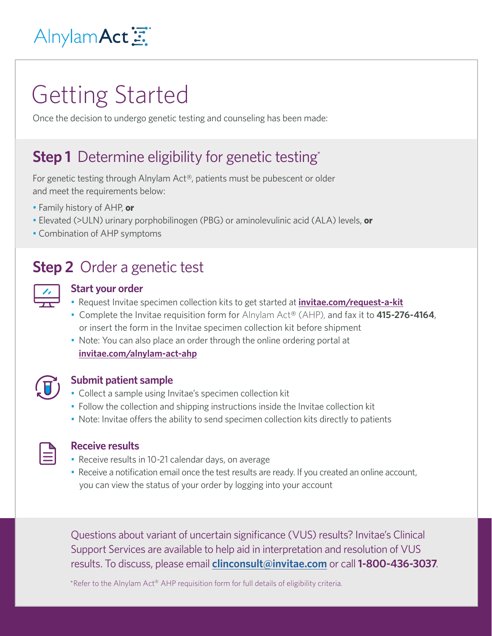## Alnylam Act 三

## Getting Started

Once the decision to undergo genetic testing and counseling has been made:

## **Step 1** Determine eligibility for genetic testing\*

For genetic testing through Alnylam Act®, patients must be pubescent or older and meet the requirements below:

- Family history of AHP, **or**
- Elevated (>ULN) urinary porphobilinogen (PBG) or aminolevulinic acid (ALA) levels, **or**
- Combination of AHP symptoms

## **Step 2** Order a genetic test

### **Start your order**

- Request Invitae specimen collection kits to get started at **[invitae.com/request-a-kit](https://www.invitae.com/request-a-kit/#/)**
- Complete the Invitae requisition form for Alnylam Act® (AHP), and fax it to **415-276-4164**, or insert the form in the Invitae specimen collection kit before shipment
- Note: You can also place an order through the online ordering portal at **[invitae.com/alnylam-act-ahp](http://invitae.com/alnylam-act-ahp)**



### **Submit patient sample**

- Collect a sample using Invitae's specimen collection kit
- Follow the collection and shipping instructions inside the Invitae collection kit
- Note: Invitae offers the ability to send specimen collection kits directly to patients

| and the state of the state of the state of the state of the state of the state of the state of the state of th<br>- 1 |  |
|-----------------------------------------------------------------------------------------------------------------------|--|
|                                                                                                                       |  |
|                                                                                                                       |  |

#### **Receive results**

- Receive results in 10-21 calendar days, on average
- Receive a notification email once the test results are ready. If you created an online account, you can view the status of your order by logging into your account

Questions about variant of uncertain significance (VUS) results? Invitae's Clinical Support Services are available to help aid in interpretation and resolution of VUS results. To discuss, please email **[clinconsult@invitae.com](mailto:clinconsult%40invitae.com?subject=)** or call**1-800-436-3037**.

\*Refer to the Alnylam Act® AHP requisition form for full details of eligibility criteria.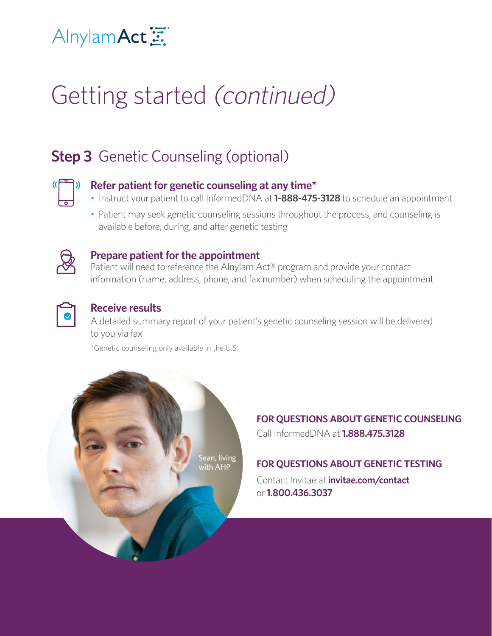## Alnylam Act 三

# Getting started (continued)

## **Step 3** Genetic Counseling (optional)



- Instruct your patient to call InformedDNA at **1-888-475-3128** to schedule an appointment
- Patient may seek genetic counseling sessions throughout the process, and counseling is available before, during, and after genetic testing



#### **Prepare patient for the appointment**

Patient will need to reference the Alnylam Act® program and provide your contact information (name, address, phone, and fax number) when scheduling the appointment



#### **Receive results**

A detailed summary report of your patient's genetic counseling session will be delivered to you via fax

\*Genetic counseling only available in the U.S.



## **FOR QUESTIONS ABOUT GENETIC COUNSELING** Call InformedDNA at **1.888.475.3128**

### **FOR QUESTIONS ABOUT GENETIC TESTING**

Contact Invitae at **[invitae.com/contact](http://invitae.com/en/contact)** or **1.800.436.3037**